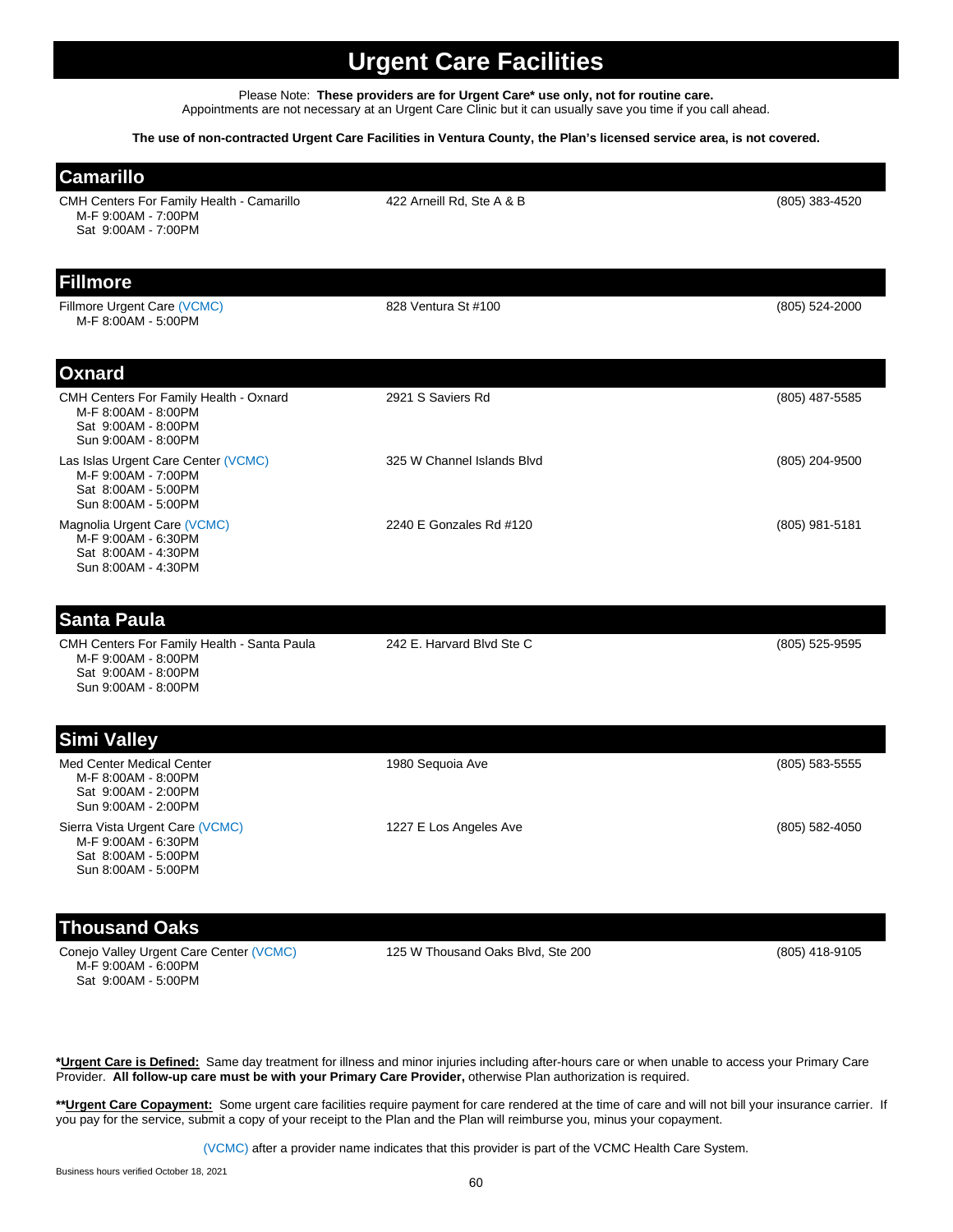## **Urgent Care Facilities**

Please Note: **These providers are for Urgent Care\* use only, not for routine care.** Appointments are not necessary at an Urgent Care Clinic but it can usually save you time if you call ahead.

## **The use of non-contracted Urgent Care Facilities in Ventura County, the Plan's licensed service area, is not covered.**

| <b>Camarillo</b>                                                                                                 |                                   |                  |
|------------------------------------------------------------------------------------------------------------------|-----------------------------------|------------------|
| <b>CMH Centers For Family Health - Camarillo</b><br>M-F 9:00AM - 7:00PM<br>Sat 9:00AM - 7:00PM                   | 422 Arneill Rd, Ste A & B         | $(805)$ 383-4520 |
| <b>Fillmore</b>                                                                                                  |                                   |                  |
| Fillmore Urgent Care (VCMC)<br>M-F 8:00AM - 5:00PM                                                               | 828 Ventura St #100               | (805) 524-2000   |
| <b>Oxnard</b>                                                                                                    |                                   |                  |
| CMH Centers For Family Health - Oxnard<br>M-F 8:00AM - 8:00PM<br>Sat 9:00AM - 8:00PM<br>Sun 9:00AM - 8:00PM      | 2921 S Saviers Rd                 | (805) 487-5585   |
| Las Islas Urgent Care Center (VCMC)<br>M-F 9:00AM - 7:00PM<br>Sat 8:00AM - 5:00PM<br>Sun 8:00AM - 5:00PM         | 325 W Channel Islands Blvd        | (805) 204-9500   |
| Magnolia Urgent Care (VCMC)<br>M-F 9:00AM - 6:30PM<br>Sat 8:00AM - 4:30PM<br>Sun 8:00AM - 4:30PM                 | 2240 E Gonzales Rd #120           | (805) 981-5181   |
| <b>Santa Paula</b>                                                                                               |                                   |                  |
| CMH Centers For Family Health - Santa Paula<br>M-F 9:00AM - 8:00PM<br>Sat 9:00AM - 8:00PM<br>Sun 9:00AM - 8:00PM | 242 E. Harvard Blvd Ste C         | (805) 525-9595   |
| <b>Simi Valley</b>                                                                                               |                                   |                  |
| Med Center Medical Center<br>M-F 8:00AM - 8:00PM<br>Sat 9:00AM - 2:00PM<br>Sun 9:00AM - 2:00PM                   | 1980 Sequoia Ave                  | $(805)$ 583-5555 |
| Sierra Vista Urgent Care (VCMC)<br>M-F 9:00AM - 6:30PM<br>Sat 8:00AM - 5:00PM<br>Sun 8:00AM - 5:00PM             | 1227 E Los Angeles Ave            | $(805)$ 582-4050 |
| <b>Thousand Oaks</b>                                                                                             |                                   |                  |
| Conejo Valley Urgent Care Center (VCMC)                                                                          | 125 W Thousand Oaks Blvd, Ste 200 | (805) 418-9105   |

**\*Urgent Care is Defined:** Same day treatment for illness and minor injuries including after-hours care or when unable to access your Primary Care Provider. **All follow-up care must be with your Primary Care Provider,** otherwise Plan authorization is required.

\*\***Urgent Care Copayment:** Some urgent care facilities require payment for care rendered at the time of care and will not bill your insurance carrier. If you pay for the service, submit a copy of your receipt to the Plan and the Plan will reimburse you, minus your copayment.

(VCMC) after a provider name indicates that this provider is part of the VCMC Health Care System.

 M-F 9:00AM - 6:00PM Sat 9:00AM - 5:00PM